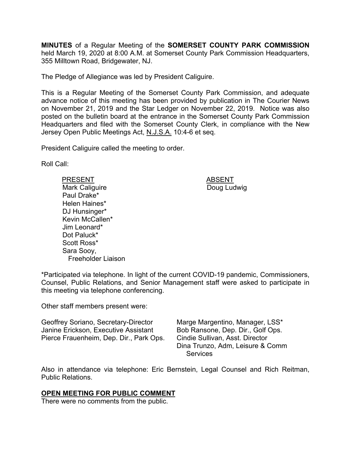**MINUTES** of a Regular Meeting of the **SOMERSET COUNTY PARK COMMISSION** held March 19, 2020 at 8:00 A.M. at Somerset County Park Commission Headquarters, 355 Milltown Road, Bridgewater, NJ.

The Pledge of Allegiance was led by President Caliguire.

This is a Regular Meeting of the Somerset County Park Commission, and adequate advance notice of this meeting has been provided by publication in The Courier News on November 21, 2019 and the Star Ledger on November 22, 2019. Notice was also posted on the bulletin board at the entrance in the Somerset County Park Commission Headquarters and filed with the Somerset County Clerk, in compliance with the New Jersey Open Public Meetings Act, N.J.S.A. 10:4-6 et seq.

President Caliguire called the meeting to order.

Roll Call:

PRESENT ABSENT Mark Caliguire Paul Drake\* Helen Haines\* DJ Hunsinger\* Kevin McCallen\* Jim Leonard\* Dot Paluck\* Scott Ross\* Sara Sooy, Freeholder Liaison

Doug Ludwig

\*Participated via telephone. In light of the current COVID-19 pandemic, Commissioners, Counsel, Public Relations, and Senior Management staff were asked to participate in this meeting via telephone conferencing.

Other staff members present were:

Geoffrey Soriano, Secretary-Director Janine Erickson, Executive Assistant Pierce Frauenheim, Dep. Dir., Park Ops. Marge Margentino, Manager, LSS\* Bob Ransone, Dep. Dir., Golf Ops. Cindie Sullivan, Asst. Director Dina Trunzo, Adm, Leisure & Comm **Services** 

Also in attendance via telephone: Eric Bernstein, Legal Counsel and Rich Reitman, Public Relations.

### **OPEN MEETING FOR PUBLIC COMMENT**

There were no comments from the public.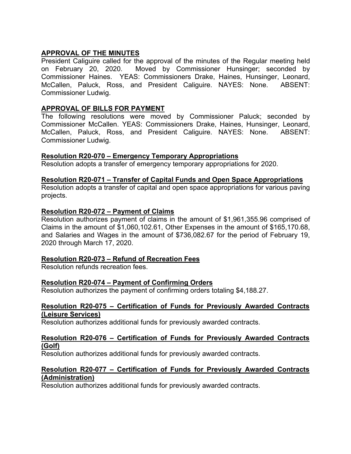# **APPROVAL OF THE MINUTES**

President Caliguire called for the approval of the minutes of the Regular meeting held on February 20, 2020. Moved by Commissioner Hunsinger; seconded by Commissioner Haines. YEAS: Commissioners Drake, Haines, Hunsinger, Leonard, McCallen, Paluck, Ross, and President Caliguire. NAYES: None. ABSENT: Commissioner Ludwig.

# **APPROVAL OF BILLS FOR PAYMENT**

The following resolutions were moved by Commissioner Paluck; seconded by Commissioner McCallen. YEAS: Commissioners Drake, Haines, Hunsinger, Leonard, McCallen, Paluck, Ross, and President Caliguire. NAYES: None. ABSENT: Commissioner Ludwig.

### **Resolution R20-070 – Emergency Temporary Appropriations**

Resolution adopts a transfer of emergency temporary appropriations for 2020.

### **Resolution R20-071** *–* **Transfer of Capital Funds and Open Space Appropriations**

Resolution adopts a transfer of capital and open space appropriations for various paving projects.

### **Resolution R20-072 – Payment of Claims**

Resolution authorizes payment of claims in the amount of \$1,961,355.96 comprised of Claims in the amount of \$1,060,102.61, Other Expenses in the amount of \$165,170.68, and Salaries and Wages in the amount of \$736,082.67 for the period of February 19, 2020 through March 17, 2020.

# **Resolution R20-073 – Refund of Recreation Fees**

Resolution refunds recreation fees.

# **Resolution R20-074 – Payment of Confirming Orders**

Resolution authorizes the payment of confirming orders totaling \$4,188.27.

#### **Resolution R20-075 – Certification of Funds for Previously Awarded Contracts (Leisure Services)**

Resolution authorizes additional funds for previously awarded contracts.

#### **Resolution R20-076 – Certification of Funds for Previously Awarded Contracts (Golf)**

Resolution authorizes additional funds for previously awarded contracts.

### **Resolution R20-077 – Certification of Funds for Previously Awarded Contracts (Administration)**

Resolution authorizes additional funds for previously awarded contracts.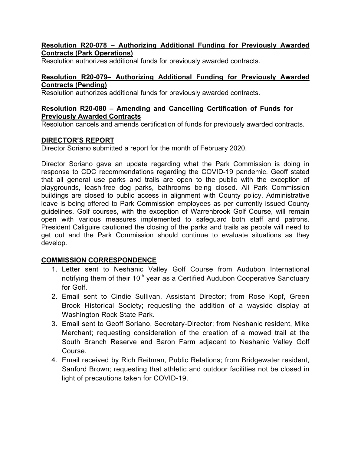### **Resolution R20-078 – Authorizing Additional Funding for Previously Awarded Contracts (Park Operations)**

Resolution authorizes additional funds for previously awarded contracts.

### **Resolution R20-079– Authorizing Additional Funding for Previously Awarded Contracts (Pending)**

Resolution authorizes additional funds for previously awarded contracts.

### **Resolution R20-080 – Amending and Cancelling Certification of Funds for Previously Awarded Contracts**

Resolution cancels and amends certification of funds for previously awarded contracts.

# **DIRECTOR'S REPORT**

Director Soriano submitted a report for the month of February 2020.

Director Soriano gave an update regarding what the Park Commission is doing in response to CDC recommendations regarding the COVID-19 pandemic. Geoff stated that all general use parks and trails are open to the public with the exception of playgrounds, leash-free dog parks, bathrooms being closed. All Park Commission buildings are closed to public access in alignment with County policy. Administrative leave is being offered to Park Commission employees as per currently issued County guidelines. Golf courses, with the exception of Warrenbrook Golf Course, will remain open with various measures implemented to safeguard both staff and patrons. President Caliguire cautioned the closing of the parks and trails as people will need to get out and the Park Commission should continue to evaluate situations as they develop.

# **COMMISSION CORRESPONDENCE**

- 1. Letter sent to Neshanic Valley Golf Course from Audubon International notifying them of their  $10<sup>th</sup>$  year as a Certified Audubon Cooperative Sanctuary for Golf.
- 2. Email sent to Cindie Sullivan, Assistant Director; from Rose Kopf, Green Brook Historical Society; requesting the addition of a wayside display at Washington Rock State Park.
- 3. Email sent to Geoff Soriano, Secretary-Director; from Neshanic resident, Mike Merchant; requesting consideration of the creation of a mowed trail at the South Branch Reserve and Baron Farm adjacent to Neshanic Valley Golf Course.
- 4. Email received by Rich Reitman, Public Relations; from Bridgewater resident, Sanford Brown; requesting that athletic and outdoor facilities not be closed in light of precautions taken for COVID-19.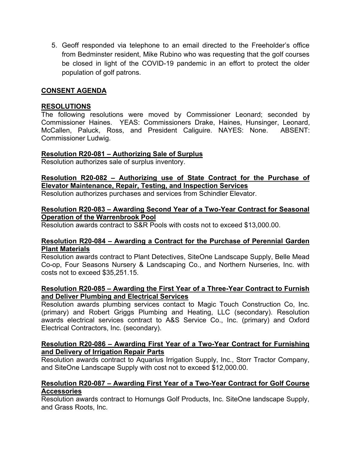5. Geoff responded via telephone to an email directed to the Freeholder's office from Bedminster resident, Mike Rubino who was requesting that the golf courses be closed in light of the COVID-19 pandemic in an effort to protect the older population of golf patrons.

### **CONSENT AGENDA**

### **RESOLUTIONS**

The following resolutions were moved by Commissioner Leonard; seconded by Commissioner Haines. YEAS: Commissioners Drake, Haines, Hunsinger, Leonard, McCallen, Paluck, Ross, and President Caliguire. NAYES: None. ABSENT: Commissioner Ludwig.

#### **Resolution R20-081 – Authorizing Sale of Surplus**

Resolution authorizes sale of surplus inventory.

# **Resolution R20-082 – Authorizing use of State Contract for the Purchase of Elevator Maintenance, Repair, Testing, and Inspection Services**

Resolution authorizes purchases and services from Schindler Elevator.

#### **Resolution R20-083 – Awarding Second Year of a Two-Year Contract for Seasonal Operation of the Warrenbrook Pool**

Resolution awards contract to S&R Pools with costs not to exceed \$13,000.00.

### **Resolution R20-084 – Awarding a Contract for the Purchase of Perennial Garden Plant Materials**

Resolution awards contract to Plant Detectives, SiteOne Landscape Supply, Belle Mead Co-op, Four Seasons Nursery & Landscaping Co., and Northern Nurseries, Inc. with costs not to exceed \$35,251.15.

#### **Resolution R20-085 – Awarding the First Year of a Three-Year Contract to Furnish and Deliver Plumbing and Electrical Services**

Resolution awards plumbing services contact to Magic Touch Construction Co, Inc. (primary) and Robert Griggs Plumbing and Heating, LLC (secondary). Resolution awards electrical services contract to A&S Service Co., Inc. (primary) and Oxford Electrical Contractors, Inc. (secondary).

### **Resolution R20-086 – Awarding First Year of a Two-Year Contract for Furnishing and Delivery of Irrigation Repair Parts**

Resolution awards contract to Aquarius Irrigation Supply, Inc., Storr Tractor Company, and SiteOne Landscape Supply with cost not to exceed \$12,000.00.

### **Resolution R20-087 – Awarding First Year of a Two-Year Contract for Golf Course Accessories**

Resolution awards contract to Hornungs Golf Products, Inc. SiteOne landscape Supply, and Grass Roots, Inc.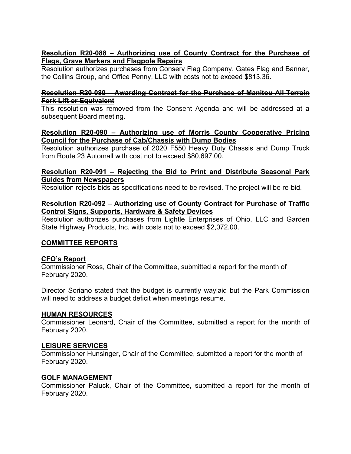# **Resolution R20-088 – Authorizing use of County Contract for the Purchase of Flags, Grave Markers and Flagpole Repairs**

Resolution authorizes purchases from Conserv Flag Company, Gates Flag and Banner, the Collins Group, and Office Penny, LLC with costs not to exceed \$813.36.

### **Resolution R20-089 – Awarding Contract for the Purchase of Manitou All-Terrain Fork Lift or Equivalent**

This resolution was removed from the Consent Agenda and will be addressed at a subsequent Board meeting.

### **Resolution R20-090 – Authorizing use of Morris County Cooperative Pricing Council for the Purchase of Cab/Chassis with Dump Bodies**

Resolution authorizes purchase of 2020 F550 Heavy Duty Chassis and Dump Truck from Route 23 Automall with cost not to exceed \$80,697.00.

### **Resolution R20-091 – Rejecting the Bid to Print and Distribute Seasonal Park Guides from Newspapers**

Resolution rejects bids as specifications need to be revised. The project will be re-bid.

### **Resolution R20-092 – Authorizing use of County Contract for Purchase of Traffic Control Signs, Supports, Hardware & Safety Devices**

Resolution authorizes purchases from Lightle Enterprises of Ohio, LLC and Garden State Highway Products, Inc. with costs not to exceed \$2,072.00.

# **COMMITTEE REPORTS**

# **CFO's Report**

Commissioner Ross, Chair of the Committee, submitted a report for the month of February 2020.

Director Soriano stated that the budget is currently waylaid but the Park Commission will need to address a budget deficit when meetings resume.

# **HUMAN RESOURCES**

Commissioner Leonard, Chair of the Committee, submitted a report for the month of February 2020.

# **LEISURE SERVICES**

Commissioner Hunsinger, Chair of the Committee, submitted a report for the month of February 2020.

# **GOLF MANAGEMENT**

Commissioner Paluck, Chair of the Committee, submitted a report for the month of February 2020.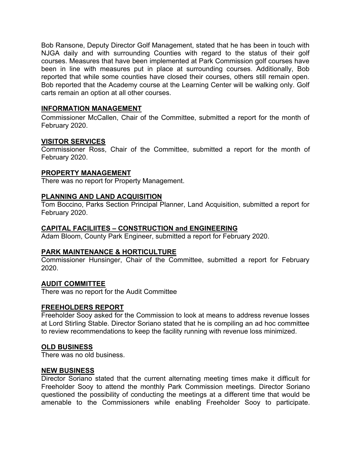Bob Ransone, Deputy Director Golf Management, stated that he has been in touch with NJGA daily and with surrounding Counties with regard to the status of their golf courses. Measures that have been implemented at Park Commission golf courses have been in line with measures put in place at surrounding courses. Additionally, Bob reported that while some counties have closed their courses, others still remain open. Bob reported that the Academy course at the Learning Center will be walking only. Golf carts remain an option at all other courses.

### **INFORMATION MANAGEMENT**

Commissioner McCallen, Chair of the Committee, submitted a report for the month of February 2020.

### **VISITOR SERVICES**

Commissioner Ross, Chair of the Committee, submitted a report for the month of February 2020.

### **PROPERTY MANAGEMENT**

There was no report for Property Management.

### **PLANNING AND LAND ACQUISITION**

Tom Boccino, Parks Section Principal Planner, Land Acquisition, submitted a report for February 2020.

### **CAPITAL FACILIITES – CONSTRUCTION and ENGINEERING**

Adam Bloom, County Park Engineer, submitted a report for February 2020.

### **PARK MAINTENANCE & HORTICULTURE**

Commissioner Hunsinger, Chair of the Committee, submitted a report for February 2020.

#### **AUDIT COMMITTEE**

There was no report for the Audit Committee

#### **FREEHOLDERS REPORT**

Freeholder Sooy asked for the Commission to look at means to address revenue losses at Lord Stirling Stable. Director Soriano stated that he is compiling an ad hoc committee to review recommendations to keep the facility running with revenue loss minimized.

### **OLD BUSINESS**

There was no old business.

#### **NEW BUSINESS**

Director Soriano stated that the current alternating meeting times make it difficult for Freeholder Sooy to attend the monthly Park Commission meetings. Director Soriano questioned the possibility of conducting the meetings at a different time that would be amenable to the Commissioners while enabling Freeholder Sooy to participate.